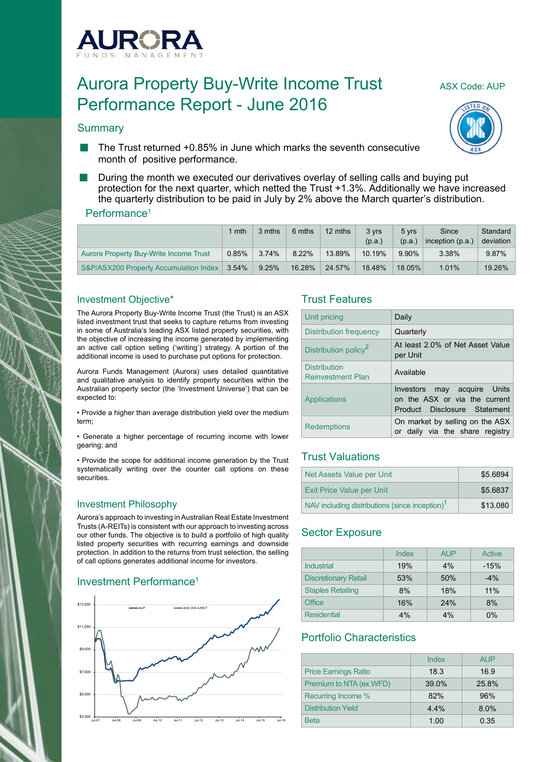

# Aurora Property Buy-Write Income Trust ASX Code: AUP Performance Report - June 2016

#### **Summary**





- The Trust returned +0.85% in June which marks the seventh consecutive month of positive performance.
- During the month we executed our derivatives overlay of selling calls and buying put protection for the next quarter, which netted the Trust +1.3%. Additionally we have increased the quarterly distribution to be paid in July by 2% above the March quarter's distribution.

#### Performance<sup>1</sup>

|                                        | $1$ mth  | 3 mths | 6 mths | 12 mths | 3 vrs<br>(p.a.) | 5 vrs<br>(p.a.) | Since<br>inception $(p.a.)$ | Standard<br>deviation |
|----------------------------------------|----------|--------|--------|---------|-----------------|-----------------|-----------------------------|-----------------------|
| Aurora Property Buy-Write Income Trust | $0.85\%$ | 3.74%  | 8.22%  | 13.89%  | 10.19%          | 9.90%           | 3.38%                       | 9.87%                 |
| S&P/ASX200 Property Accumulation Index | $3.54\%$ | 9.25%  | 16.28% | 24.57%  | 18.48%          | 18.05%          | $1.01\%$                    | 19.26%                |

#### Investment Objective\*

The Aurora Property Buy-Write Income Trust (the Trust) is an ASX listed investment trust that seeks to capture returns from investing in some of Australia's leading ASX listed property securities, with the objective of increasing the income generated by implementing an active call option selling ('writing') strategy. A portion of the additional income is used to purchase put options for protection.

Aurora Funds Management (Aurora) uses detailed quantitative and qualitative analysis to identify property securities within the Australian property sector (the 'Investment Universe') that can be expected to:

• Provide a higher than average distribution yield over the medium term;

• Generate a higher percentage of recurring income with lower gearing; and

• Provide the scope for additional income generation by the Trust systematically writing over the counter call options on these **securities** 

## Investment Philosophy

Aurora's approach to investing in Australian Real Estate Investment Trusts (A-REITs) is consistent with our approach to investing across our other funds. The objective is to build a portfolio of high quality listed property securities with recurring earnings and downside protection. In addition to the returns from trust selection, the selling of call options generates additional income for investors.

## Investment Performance<sup>1</sup>



## Trust Features

| Unit pricing                                    | Daily                                                                                        |
|-------------------------------------------------|----------------------------------------------------------------------------------------------|
| Distribution frequency                          | Quarterly                                                                                    |
| Distribution policy <sup>2</sup>                | At least 2.0% of Net Asset Value<br>per Unit                                                 |
| <b>Distribution</b><br><b>Reinvestment Plan</b> | Available                                                                                    |
| Applications                                    | Investors may acquire Units<br>on the ASX or via the current<br>Product Disclosure Statement |
| <b>Redemptions</b>                              | On market by selling on the ASX<br>or daily via the share registry                           |

## Trust Valuations

| Net Assets Value per Unit                                  | \$5.6894 |
|------------------------------------------------------------|----------|
| <b>Exit Price Value per Unit</b>                           | \$5.6837 |
| NAV including distributions (since inception) <sup>1</sup> | \$13,080 |

## Sector Exposure

|                             | Index | <b>AUP</b> | Active |
|-----------------------------|-------|------------|--------|
| Industrial                  | 19%   | 4%         | $-15%$ |
| <b>Discretionary Retail</b> | 53%   | 50%        | $-4%$  |
| <b>Staples Retailing</b>    | 8%    | 18%        | 11%    |
| Office                      | 16%   | 24%        | 8%     |
| <b>Residential</b>          | 4%    | 4%         | $0\%$  |

## Portfolio Characteristics

|                             | Index | <b>AUP</b> |
|-----------------------------|-------|------------|
| <b>Price Earnings Ratio</b> | 18.3  | 16.9       |
| Premium to NTA (ex WFD)     | 39.0% | 25.8%      |
| Recurring Income %          | 82%   | 96%        |
| <b>Distribution Yield</b>   | 4.4%  | 8.0%       |
| <b>Beta</b>                 | 1.00  | 0.35       |